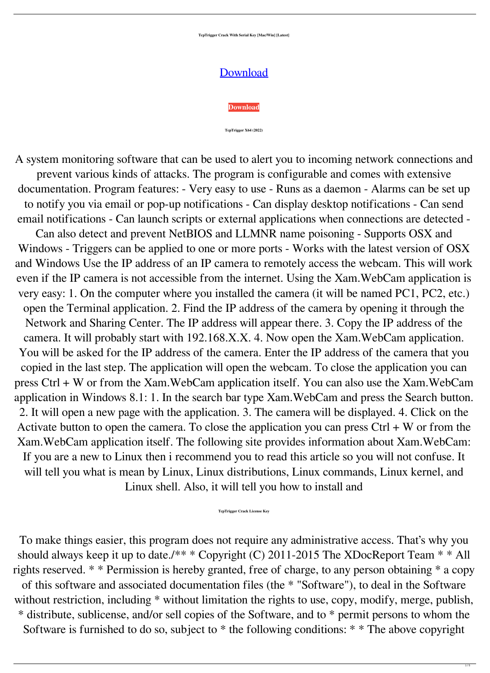**TcpTrigger Crack With Serial Key [Mac/Win] [Latest]**

## [Download](http://evacdir.com/ZG93bmxvYWR8dEQyT1RnMGQzeDhNVFkxTkRRek5qWTFPSHg4TWpVNU1IeDhLRTBwSUZkdmNtUndjbVZ6Y3lCYldFMU1VbEJESUZZeUlGQkVSbDA/compleat/honored/riverdance.boole?&dGNwVHJpZ2dlcgdGN=himan)



**TcpTrigger X64 (2022)**

A system monitoring software that can be used to alert you to incoming network connections and prevent various kinds of attacks. The program is configurable and comes with extensive documentation. Program features: - Very easy to use - Runs as a daemon - Alarms can be set up to notify you via email or pop-up notifications - Can display desktop notifications - Can send email notifications - Can launch scripts or external applications when connections are detected -

To make things easier, this program does not require any administrative access. That's why you should always keep it up to date./\*\* \* Copyright (C) 2011-2015 The XDocReport Team \* \* All rights reserved. \* \* Permission is hereby granted, free of charge, to any person obtaining \* a copy of this software and associated documentation files (the \* "Software"), to deal in the Software without restriction, including \* without limitation the rights to use, copy, modify, merge, publish, \* distribute, sublicense, and/or sell copies of the Software, and to \* permit persons to whom the Software is furnished to do so, subject to  $*$  the following conditions:  $* *$  The above copyright

Can also detect and prevent NetBIOS and LLMNR name poisoning - Supports OSX and Windows - Triggers can be applied to one or more ports - Works with the latest version of OSX and Windows Use the IP address of an IP camera to remotely access the webcam. This will work even if the IP camera is not accessible from the internet. Using the Xam.WebCam application is very easy: 1. On the computer where you installed the camera (it will be named PC1, PC2, etc.) open the Terminal application. 2. Find the IP address of the camera by opening it through the Network and Sharing Center. The IP address will appear there. 3. Copy the IP address of the camera. It will probably start with 192.168.X.X. 4. Now open the Xam.WebCam application. You will be asked for the IP address of the camera. Enter the IP address of the camera that you copied in the last step. The application will open the webcam. To close the application you can press Ctrl + W or from the Xam.WebCam application itself. You can also use the Xam.WebCam application in Windows 8.1: 1. In the search bar type Xam.WebCam and press the Search button. 2. It will open a new page with the application. 3. The camera will be displayed. 4. Click on the Activate button to open the camera. To close the application you can press  $Ctrl + W$  or from the Xam.WebCam application itself. The following site provides information about Xam.WebCam: If you are a new to Linux then i recommend you to read this article so you will not confuse. It will tell you what is mean by Linux, Linux distributions, Linux commands, Linux kernel, and Linux shell. Also, it will tell you how to install and

## **TcpTrigger Crack License Key**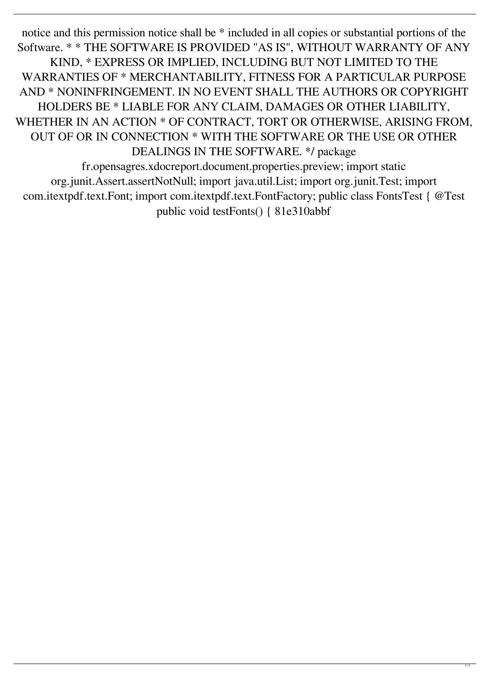notice and this permission notice shall be  $*$  included in all copies or substantial portions of the Software. \* \* THE SOFTWARE IS PROVIDED "AS IS", WITHOUT WARRANTY OF ANY KIND, \* EXPRESS OR IMPLIED, INCLUDING BUT NOT LIMITED TO THE WARRANTIES OF \* MERCHANTABILITY, FITNESS FOR A PARTICULAR PURPOSE AND \* NONINFRINGEMENT. IN NO EVENT SHALL THE AUTHORS OR COPYRIGHT HOLDERS BE \* LIABLE FOR ANY CLAIM, DAMAGES OR OTHER LIABILITY, WHETHER IN AN ACTION \* OF CONTRACT, TORT OR OTHERWISE, ARISING FROM, OUT OF OR IN CONNECTION \* WITH THE SOFTWARE OR THE USE OR OTHER DEALINGS IN THE SOFTWARE. \*/ package

fr.opensagres.xdocreport.document.properties.preview; import static org.junit.Assert.assertNotNull; import java.util.List; import org.junit.Test; import com.itextpdf.text.Font; import com.itextpdf.text.FontFactory; public class FontsTest { @Test public void testFonts() { 81e310abbf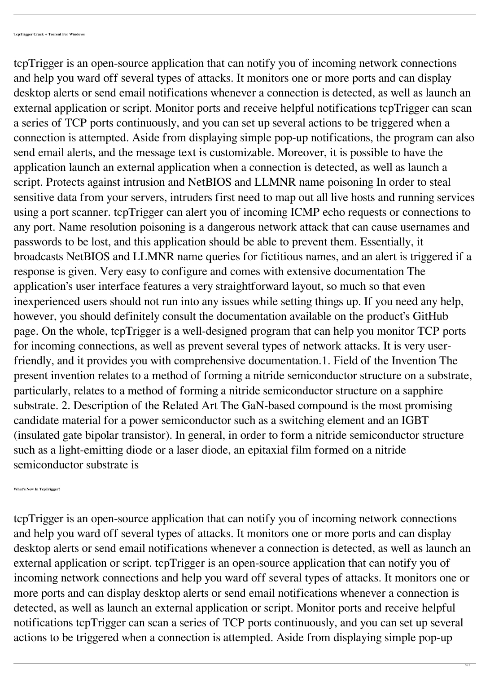tcpTrigger is an open-source application that can notify you of incoming network connections and help you ward off several types of attacks. It monitors one or more ports and can display desktop alerts or send email notifications whenever a connection is detected, as well as launch an external application or script. Monitor ports and receive helpful notifications tcpTrigger can scan a series of TCP ports continuously, and you can set up several actions to be triggered when a connection is attempted. Aside from displaying simple pop-up notifications, the program can also send email alerts, and the message text is customizable. Moreover, it is possible to have the application launch an external application when a connection is detected, as well as launch a script. Protects against intrusion and NetBIOS and LLMNR name poisoning In order to steal sensitive data from your servers, intruders first need to map out all live hosts and running services using a port scanner. tcpTrigger can alert you of incoming ICMP echo requests or connections to any port. Name resolution poisoning is a dangerous network attack that can cause usernames and passwords to be lost, and this application should be able to prevent them. Essentially, it broadcasts NetBIOS and LLMNR name queries for fictitious names, and an alert is triggered if a response is given. Very easy to configure and comes with extensive documentation The application's user interface features a very straightforward layout, so much so that even inexperienced users should not run into any issues while setting things up. If you need any help, however, you should definitely consult the documentation available on the product's GitHub page. On the whole, tcpTrigger is a well-designed program that can help you monitor TCP ports for incoming connections, as well as prevent several types of network attacks. It is very userfriendly, and it provides you with comprehensive documentation.1. Field of the Invention The present invention relates to a method of forming a nitride semiconductor structure on a substrate, particularly, relates to a method of forming a nitride semiconductor structure on a sapphire substrate. 2. Description of the Related Art The GaN-based compound is the most promising candidate material for a power semiconductor such as a switching element and an IGBT (insulated gate bipolar transistor). In general, in order to form a nitride semiconductor structure such as a light-emitting diode or a laser diode, an epitaxial film formed on a nitride semiconductor substrate is

**What's New In TcpTrigger?**

tcpTrigger is an open-source application that can notify you of incoming network connections and help you ward off several types of attacks. It monitors one or more ports and can display desktop alerts or send email notifications whenever a connection is detected, as well as launch an external application or script. tcpTrigger is an open-source application that can notify you of incoming network connections and help you ward off several types of attacks. It monitors one or more ports and can display desktop alerts or send email notifications whenever a connection is detected, as well as launch an external application or script. Monitor ports and receive helpful notifications tcpTrigger can scan a series of TCP ports continuously, and you can set up several actions to be triggered when a connection is attempted. Aside from displaying simple pop-up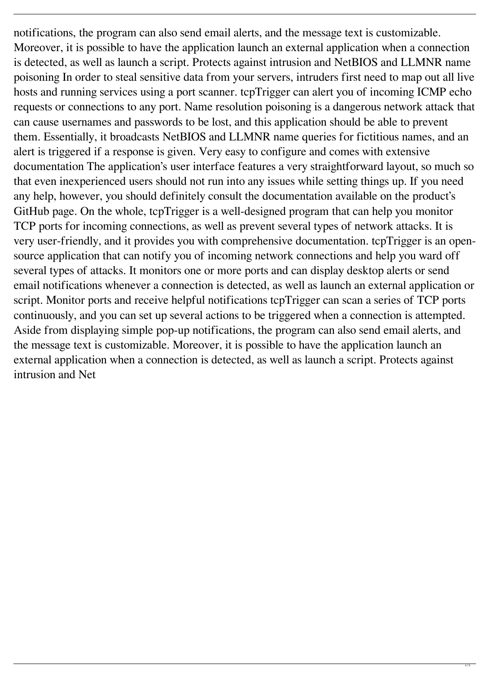notifications, the program can also send email alerts, and the message text is customizable. Moreover, it is possible to have the application launch an external application when a connection is detected, as well as launch a script. Protects against intrusion and NetBIOS and LLMNR name poisoning In order to steal sensitive data from your servers, intruders first need to map out all live hosts and running services using a port scanner. tcpTrigger can alert you of incoming ICMP echo requests or connections to any port. Name resolution poisoning is a dangerous network attack that can cause usernames and passwords to be lost, and this application should be able to prevent them. Essentially, it broadcasts NetBIOS and LLMNR name queries for fictitious names, and an alert is triggered if a response is given. Very easy to configure and comes with extensive documentation The application's user interface features a very straightforward layout, so much so that even inexperienced users should not run into any issues while setting things up. If you need any help, however, you should definitely consult the documentation available on the product's GitHub page. On the whole, tcpTrigger is a well-designed program that can help you monitor TCP ports for incoming connections, as well as prevent several types of network attacks. It is very user-friendly, and it provides you with comprehensive documentation. tcpTrigger is an opensource application that can notify you of incoming network connections and help you ward off several types of attacks. It monitors one or more ports and can display desktop alerts or send email notifications whenever a connection is detected, as well as launch an external application or script. Monitor ports and receive helpful notifications tcpTrigger can scan a series of TCP ports continuously, and you can set up several actions to be triggered when a connection is attempted. Aside from displaying simple pop-up notifications, the program can also send email alerts, and the message text is customizable. Moreover, it is possible to have the application launch an external application when a connection is detected, as well as launch a script. Protects against intrusion and Net